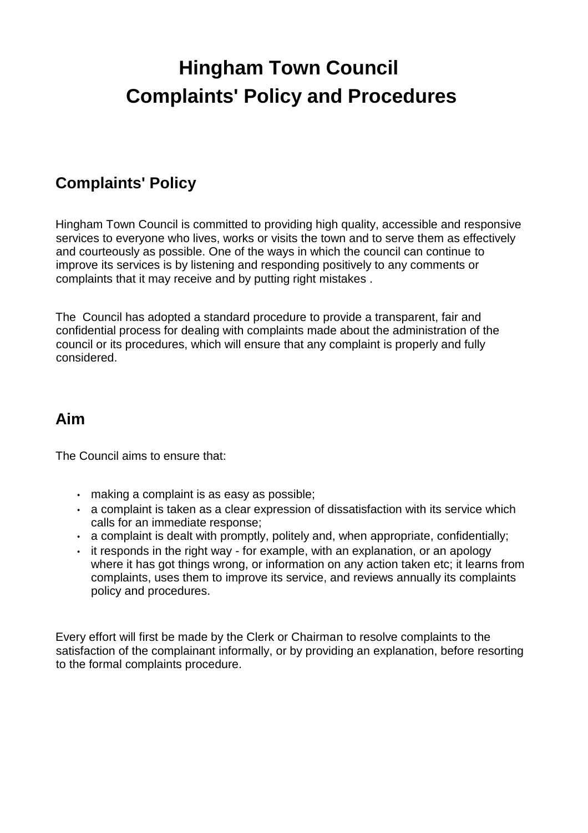# **Hingham Town Council Complaints' Policy and Procedures**

# **Complaints' Policy**

Hingham Town Council is committed to providing high quality, accessible and responsive services to everyone who lives, works or visits the town and to serve them as effectively and courteously as possible. One of the ways in which the council can continue to improve its services is by listening and responding positively to any comments or complaints that it may receive and by putting right mistakes .

The Council has adopted a standard procedure to provide a transparent, fair and confidential process for dealing with complaints made about the administration of the council or its procedures, which will ensure that any complaint is properly and fully considered.

## **Aim**

The Council aims to ensure that:

- making a complaint is as easy as possible;
- a complaint is taken as a clear expression of dissatisfaction with its service which calls for an immediate response;
- a complaint is dealt with promptly, politely and, when appropriate, confidentially;
- it responds in the right way for example, with an explanation, or an apology where it has got things wrong, or information on any action taken etc; it learns from complaints, uses them to improve its service, and reviews annually its complaints policy and procedures.

Every effort will first be made by the Clerk or Chairman to resolve complaints to the satisfaction of the complainant informally, or by providing an explanation, before resorting to the formal complaints procedure.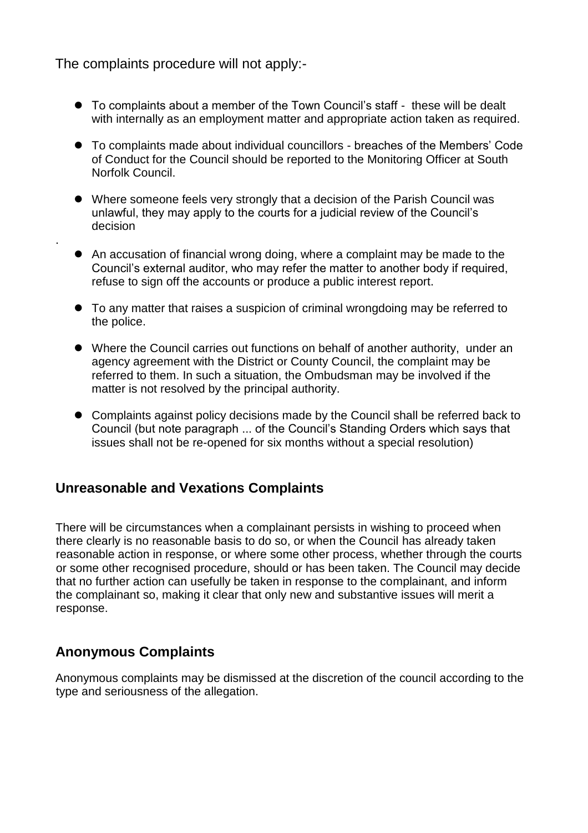The complaints procedure will not apply:-

.

- To complaints about a member of the Town Council's staff these will be dealt with internally as an employment matter and appropriate action taken as required.
- To complaints made about individual councillors breaches of the Members' Code of Conduct for the Council should be reported to the Monitoring Officer at South Norfolk Council.
- Where someone feels very strongly that a decision of the Parish Council was unlawful, they may apply to the courts for a judicial review of the Council's decision
- An accusation of financial wrong doing, where a complaint may be made to the Council's external auditor, who may refer the matter to another body if required, refuse to sign off the accounts or produce a public interest report.
- To any matter that raises a suspicion of criminal wrongdoing may be referred to the police.
- Where the Council carries out functions on behalf of another authority, under an agency agreement with the District or County Council, the complaint may be referred to them. In such a situation, the Ombudsman may be involved if the matter is not resolved by the principal authority.
- Complaints against policy decisions made by the Council shall be referred back to Council (but note paragraph ... of the Council's Standing Orders which says that issues shall not be re-opened for six months without a special resolution)

#### **Unreasonable and Vexations Complaints**

There will be circumstances when a complainant persists in wishing to proceed when there clearly is no reasonable basis to do so, or when the Council has already taken reasonable action in response, or where some other process, whether through the courts or some other recognised procedure, should or has been taken. The Council may decide that no further action can usefully be taken in response to the complainant, and inform the complainant so, making it clear that only new and substantive issues will merit a response.

#### **Anonymous Complaints**

Anonymous complaints may be dismissed at the discretion of the council according to the type and seriousness of the allegation.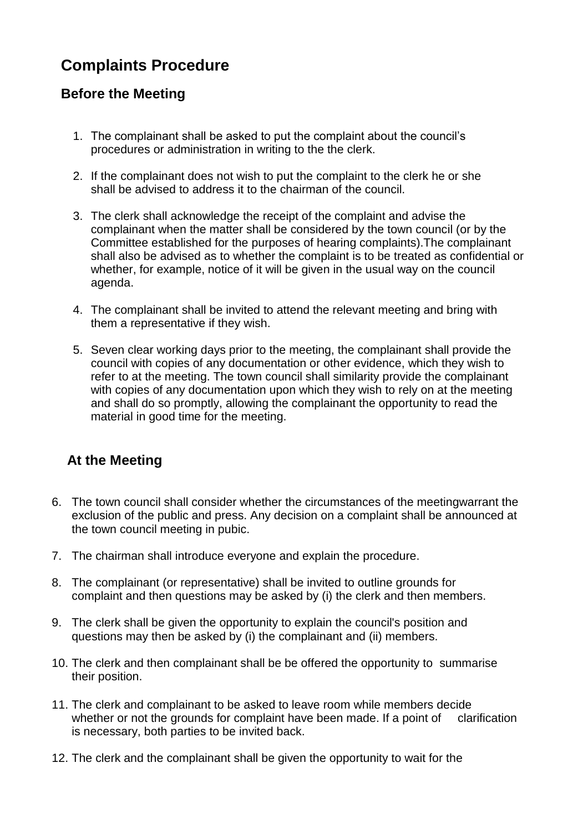# **Complaints Procedure**

### **Before the Meeting**

- 1. The complainant shall be asked to put the complaint about the council's procedures or administration in writing to the the clerk.
- 2. If the complainant does not wish to put the complaint to the clerk he or she shall be advised to address it to the chairman of the council.
- 3. The clerk shall acknowledge the receipt of the complaint and advise the complainant when the matter shall be considered by the town council (or by the Committee established for the purposes of hearing complaints).The complainant shall also be advised as to whether the complaint is to be treated as confidential or whether, for example, notice of it will be given in the usual way on the council agenda.
- 4. The complainant shall be invited to attend the relevant meeting and bring with them a representative if they wish.
- 5. Seven clear working days prior to the meeting, the complainant shall provide the council with copies of any documentation or other evidence, which they wish to refer to at the meeting. The town council shall similarity provide the complainant with copies of any documentation upon which they wish to rely on at the meeting and shall do so promptly, allowing the complainant the opportunity to read the material in good time for the meeting.

## **At the Meeting**

- 6. The town council shall consider whether the circumstances of the meetingwarrant the exclusion of the public and press. Any decision on a complaint shall be announced at the town council meeting in pubic.
- 7. The chairman shall introduce everyone and explain the procedure.
- 8. The complainant (or representative) shall be invited to outline grounds for complaint and then questions may be asked by (i) the clerk and then members.
- 9. The clerk shall be given the opportunity to explain the council's position and questions may then be asked by (i) the complainant and (ii) members.
- 10. The clerk and then complainant shall be be offered the opportunity to summarise their position.
- 11. The clerk and complainant to be asked to leave room while members decide whether or not the grounds for complaint have been made. If a point of clarification is necessary, both parties to be invited back.
- 12. The clerk and the complainant shall be given the opportunity to wait for the